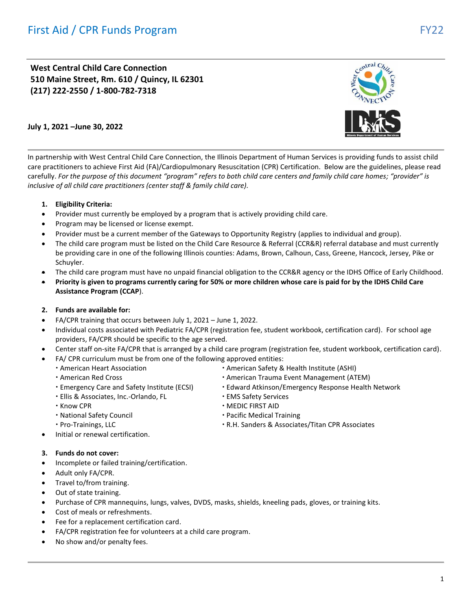**West Central Child Care Connection 510 Maine Street, Rm. 610 / Quincy, IL 62301 (217) 222-2550 / 1-800-782-7318**



# **July 1, 2021 –June 30, 2022**

In partnership with West Central Child Care Connection, the Illinois Department of Human Services is providing funds to assist child care practitioners to achieve First Aid (FA)/Cardiopulmonary Resuscitation (CPR) Certification. Below are the guidelines, please read carefully. *For the purpose of this document "program" refers to both child care centers and family child care homes; "provider" is inclusive of all child care practitioners (center staff & family child care).*

#### **1. Eligibility Criteria:**

- Provider must currently be employed by a program that is actively providing child care.
- Program may be licensed or license exempt.
- Provider must be a current member of the Gateways to Opportunity Registry (applies to individual and group).
- The child care program must be listed on the Child Care Resource & Referral (CCR&R) referral database and must currently be providing care in one of the following Illinois counties: Adams, Brown, Calhoun, Cass, Greene, Hancock, Jersey, Pike or Schuyler.
- The child care program must have no unpaid financial obligation to the CCR&R agency or the IDHS Office of Early Childhood.
- **Priority is given to programs currently caring for 50% or more children whose care is paid for by the IDHS Child Care Assistance Program (CCAP**).

## **2. Funds are available for:**

- FA/CPR training that occurs between July 1, 2021 June 1, 2022.
- Individual costs associated with Pediatric FA/CPR (registration fee, student workbook, certification card). For school age providers, FA/CPR should be specific to the age served.
- Center staff on-site FA/CPR that is arranged by a child care program (registration fee, student workbook, certification card).
- FA/ CPR curriculum must be from one of the following approved entities:
	-
	-
	-
	- Ellis & Associates, Inc.-Orlando, FL EMS Safety Services
	-
	- National Safety Council **Connect Connect Connect Pacific Medical Training**
	-
- Initial or renewal certification.

#### **3. Funds do not cover:**

- Incomplete or failed training/certification.
- Adult only FA/CPR.
- Travel to/from training.
- Out of state training.
- Purchase of CPR mannequins, lungs, valves, DVDS, masks, shields, kneeling pads, gloves, or training kits.
- Cost of meals or refreshments.
- Fee for a replacement certification card.
- FA/CPR registration fee for volunteers at a child care program.
- No show and/or penalty fees.
- American Heart Association **Constant Only 11 Constant American Safety & Health Institute (ASHI)**
- American Red Cross **American Trauma Event Management (ATEM)**
- Emergency Care and Safety Institute (ECSI) Edward Atkinson/Emergency Response Health Network
	-
- $\cdot$  Know CPR  $\cdot$  MEDIC FIRST AID
	-
- Pro-Trainings, LLC **Access 20 Contract Access 20 Contract 20 Contract 20 Contract 20 Contract 20 Contract 20 Contract 20 Contract 20 Contract 20 Contract 20 Contract 20 Contract 20 Contract 20 Contract 20 Contract 20 Con**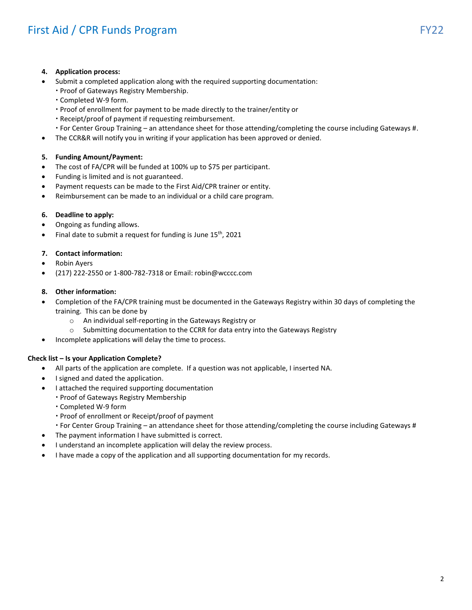## **4. Application process:**

- Submit a completed application along with the required supporting documentation:
	- Proof of Gateways Registry Membership.
	- Completed W-9 form.
	- Proof of enrollment for payment to be made directly to the trainer/entity or
	- Receipt/proof of payment if requesting reimbursement.
	- For Center Group Training an attendance sheet for those attending/completing the course including Gateways #.
- The CCR&R will notify you in writing if your application has been approved or denied.

# **5. Funding Amount/Payment:**

- The cost of FA/CPR will be funded at 100% up to \$75 per participant.
- Funding is limited and is not guaranteed.
- Payment requests can be made to the First Aid/CPR trainer or entity.
- Reimbursement can be made to an individual or a child care program.

#### **6. Deadline to apply:**

- Ongoing as funding allows.
- Final date to submit a request for funding is June 15<sup>th</sup>, 2021

#### **7. Contact information:**

- Robin Ayers
- (217) 222-2550 or 1-800-782-7318 or Email: robin@wcccc.com

#### **8. Other information:**

- Completion of the FA/CPR training must be documented in the Gateways Registry within 30 days of completing the training. This can be done by
	- o An individual self-reporting in the Gateways Registry or
	- o Submitting documentation to the CCRR for data entry into the Gateways Registry
- Incomplete applications will delay the time to process.

#### **Check list – Is your Application Complete?**

- All parts of the application are complete. If a question was not applicable, I inserted NA.
- I signed and dated the application.
- I attached the required supporting documentation
	- Proof of Gateways Registry Membership
	- Completed W-9 form
	- Proof of enrollment or Receipt/proof of payment
	- For Center Group Training an attendance sheet for those attending/completing the course including Gateways #
- The payment information I have submitted is correct.
- I understand an incomplete application will delay the review process.
- I have made a copy of the application and all supporting documentation for my records.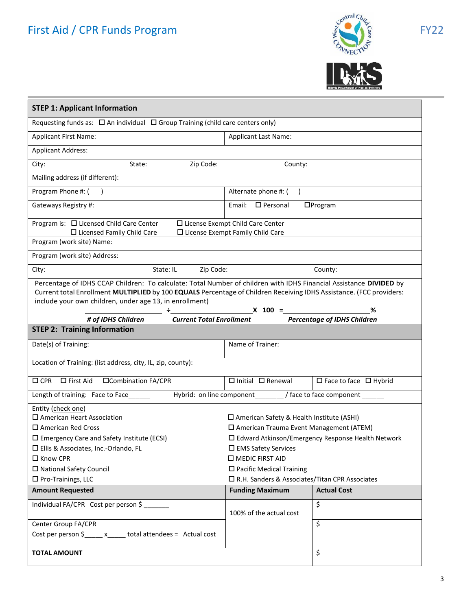# First Aid / CPR Funds Program FY22





| <b>STEP 1: Applicant Information</b>                                                                                |                                                     |                                                     |  |  |
|---------------------------------------------------------------------------------------------------------------------|-----------------------------------------------------|-----------------------------------------------------|--|--|
| Requesting funds as: $\Box$ An individual $\Box$ Group Training (child care centers only)                           |                                                     |                                                     |  |  |
| <b>Applicant First Name:</b>                                                                                        | <b>Applicant Last Name:</b>                         |                                                     |  |  |
| <b>Applicant Address:</b>                                                                                           |                                                     |                                                     |  |  |
| Zip Code:<br>City:<br>State:                                                                                        | County:                                             |                                                     |  |  |
| Mailing address (if different):                                                                                     |                                                     |                                                     |  |  |
| Program Phone #: (                                                                                                  | Alternate phone #: (<br>$\rightarrow$               |                                                     |  |  |
| Gateways Registry #:                                                                                                | $\square$ Personal<br>$D$ Program<br>Email:         |                                                     |  |  |
| Program is: $\Box$ Licensed Child Care Center                                                                       | □ License Exempt Child Care Center                  |                                                     |  |  |
| $\Box$ Licensed Family Child Care<br>Program (work site) Name:                                                      | $\square$ License Exempt Family Child Care          |                                                     |  |  |
| Program (work site) Address:                                                                                        |                                                     |                                                     |  |  |
| Zip Code:<br>City:<br>State: IL                                                                                     |                                                     | County:                                             |  |  |
| Percentage of IDHS CCAP Children: To calculate: Total Number of children with IDHS Financial Assistance DIVIDED by  |                                                     |                                                     |  |  |
| Current total Enrollment MULTIPLIED by 100 EQUALS Percentage of Children Receiving IDHS Assistance. (FCC providers: |                                                     |                                                     |  |  |
| include your own children, under age 13, in enrollment)                                                             |                                                     |                                                     |  |  |
| <b>Current Total Enrollment</b><br># of IDHS Children                                                               | $\div$ x 100 =                                      | %<br><b>Percentage of IDHS Children</b>             |  |  |
| <b>STEP 2: Training Information</b>                                                                                 |                                                     |                                                     |  |  |
| Name of Trainer:<br>Date(s) of Training:                                                                            |                                                     |                                                     |  |  |
| Location of Training: (list address, city, IL, zip, county):                                                        |                                                     |                                                     |  |  |
| □Combination FA/CPR<br>$\Box$ First Aid<br>$\square$ CPR                                                            | $\Box$ Initial $\Box$ Renewal                       | $\Box$ Face to face $\Box$ Hybrid                   |  |  |
| Length of training: Face to Face                                                                                    |                                                     |                                                     |  |  |
| Hybrid: on line component / / face to face component /                                                              |                                                     |                                                     |  |  |
| Entity (check one)<br>$\square$ American Heart Association                                                          | $\square$ American Safety & Health Institute (ASHI) |                                                     |  |  |
| $\square$ American Red Cross<br>□ American Trauma Event Management (ATEM)                                           |                                                     |                                                     |  |  |
| $\square$ Emergency Care and Safety Institute (ECSI)                                                                |                                                     | □ Edward Atkinson/Emergency Response Health Network |  |  |
| □ Ellis & Associates, Inc.-Orlando, FL                                                                              | □ EMS Safety Services                               |                                                     |  |  |
| □ Know CPR                                                                                                          | <b>O</b> MEDIC FIRST AID                            |                                                     |  |  |
| □ National Safety Council                                                                                           | $\square$ Pacific Medical Training                  |                                                     |  |  |
| $\square$ Pro-Trainings, LLC                                                                                        | □ R.H. Sanders & Associates/Titan CPR Associates    |                                                     |  |  |
| <b>Amount Requested</b>                                                                                             | <b>Funding Maximum</b>                              | <b>Actual Cost</b>                                  |  |  |
| Individual FA/CPR Cost per person \$                                                                                | 100% of the actual cost                             | \$                                                  |  |  |
| Center Group FA/CPR                                                                                                 |                                                     | \$                                                  |  |  |
| Cost per person \$_____ x_____ total attendees = Actual cost                                                        |                                                     |                                                     |  |  |
|                                                                                                                     |                                                     |                                                     |  |  |
| <b>TOTAL AMOUNT</b>                                                                                                 |                                                     | \$                                                  |  |  |